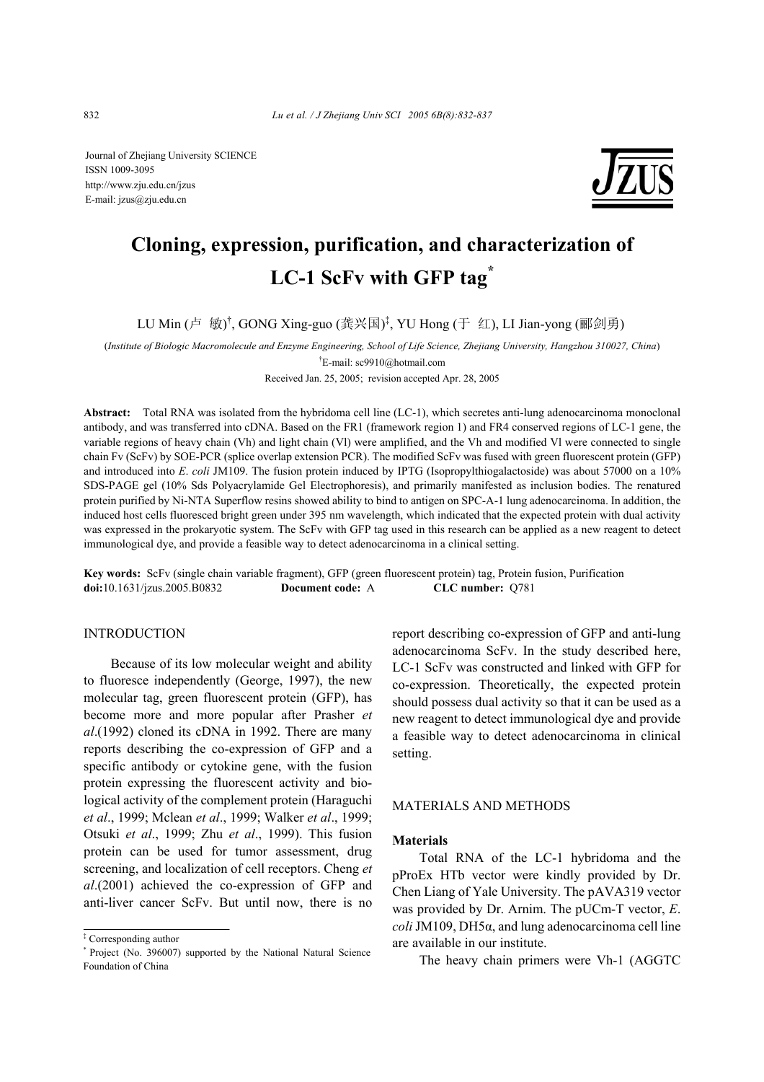Journal of Zhejiang University SCIENCE ISSN 1009-3095 http://www.zju.edu.cn/jzus E-mail: jzus@zju.edu.cn



# **Cloning, expression, purification, and characterization of LC-1 ScFv with GFP tag\***

LU Min (卢 敏)<sup>†</sup>, GONG Xing-guo (龚兴国)<sup>‡</sup>, YU Hong (于 红), LI Jian-yong (郦剑勇)

(*Institute of Biologic Macromolecule and Enzyme Engineering, School of Life Science, Zhejiang University, Hangzhou 310027, China*)

† E-mail: sc9910@hotmail.com

Received Jan. 25, 2005; revision accepted Apr. 28, 2005

**Abstract:** Total RNA was isolated from the hybridoma cell line (LC-1), which secretes anti-lung adenocarcinoma monoclonal antibody, and was transferred into cDNA. Based on the FR1 (framework region 1) and FR4 conserved regions of LC-1 gene, the variable regions of heavy chain (Vh) and light chain (Vl) were amplified, and the Vh and modified Vl were connected to single chain Fv (ScFv) by SOE-PCR (splice overlap extension PCR). The modified ScFv was fused with green fluorescent protein (GFP) and introduced into *E*. *coli* JM109. The fusion protein induced by IPTG (Isopropylthiogalactoside) was about 57000 on a 10% SDS-PAGE gel (10% Sds Polyacrylamide Gel Electrophoresis), and primarily manifested as inclusion bodies. The renatured protein purified by Ni-NTA Superflow resins showed ability to bind to antigen on SPC-A-1 lung adenocarcinoma. In addition, the induced host cells fluoresced bright green under 395 nm wavelength, which indicated that the expected protein with dual activity was expressed in the prokaryotic system. The ScFv with GFP tag used in this research can be applied as a new reagent to detect immunological dye, and provide a feasible way to detect adenocarcinoma in a clinical setting.

**Key words:** ScFv (single chain variable fragment), GFP (green fluorescent protein) tag, Protein fusion, Purification **doi:**10.1631/jzus.2005.B0832 **Document code:** A **CLC number:** Q781

# INTRODUCTION

Because of its low molecular weight and ability to fluoresce independently (George, 1997), the new molecular tag, green fluorescent protein (GFP), has become more and more popular after Prasher *et al*.(1992) cloned its cDNA in 1992. There are many reports describing the co-expression of GFP and a specific antibody or cytokine gene, with the fusion protein expressing the fluorescent activity and biological activity of the complement protein (Haraguchi *et al*., 1999; Mclean *et al*., 1999; Walker *et al*., 1999; Otsuki *et al*., 1999; Zhu *et al*., 1999). This fusion protein can be used for tumor assessment, drug screening, and localization of cell receptors. Cheng *et al*.(2001) achieved the co-expression of GFP and anti-liver cancer ScFv. But until now, there is no

report describing co-expression of GFP and anti-lung adenocarcinoma ScFv. In the study described here, LC-1 ScFv was constructed and linked with GFP for co-expression. Theoretically, the expected protein should possess dual activity so that it can be used as a new reagent to detect immunological dye and provide a feasible way to detect adenocarcinoma in clinical setting.

# MATERIALS AND METHODS

## **Materials**

Total RNA of the LC-1 hybridoma and the pProEx HTb vector were kindly provided by Dr. Chen Liang of Yale University. The pAVA319 vector was provided by Dr. Arnim. The pUCm-T vector, *E*. *coli* JM109, DH5α, and lung adenocarcinoma cell line are available in our institute.

The heavy chain primers were Vh-1 (AGGTC

<sup>‡</sup> Corresponding author

<sup>\*</sup> Project (No. 396007) supported by the National Natural Science Foundation of China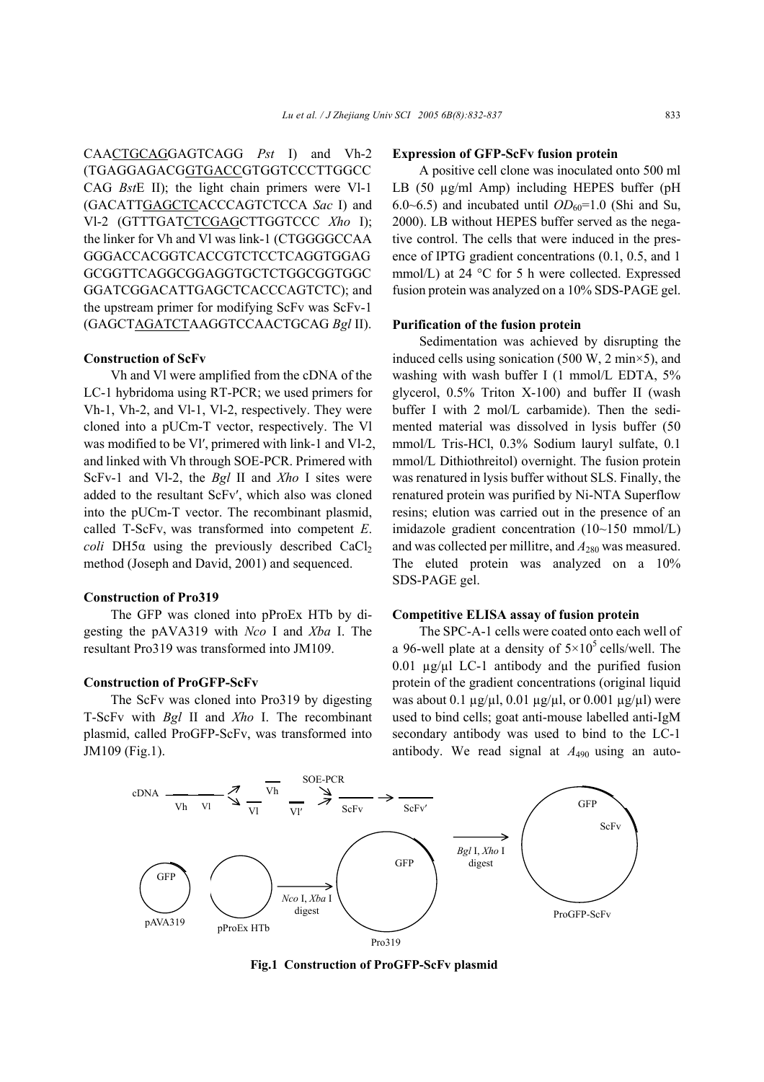CAACTGCAGGAGTCAGG *Pst* I) and Vh-2 (TGAGGAGACGGTGACCGTGGTCCCTTGGCC CAG *Bst*E II); the light chain primers were Vl-1 (GACATTGAGCTCACCCAGTCTCCA *Sac* I) and Vl-2 (GTTTGATCTCGAGCTTGGTCCC *Xho* I); the linker for Vh and Vl was link-1 (CTGGGGCCAA GGGACCACGGTCACCGTCTCCTCAGGTGGAG GCGGTTCAGGCGGAGGTGCTCTGGCGGTGGC GGATCGGACATTGAGCTCACCCAGTCTC); and the upstream primer for modifying ScFv was ScFv-1 (GAGCTAGATCTAAGGTCCAACTGCAG *Bgl* II).

# **Construction of ScFv**

Vh and Vl were amplified from the cDNA of the LC-1 hybridoma using RT-PCR; we used primers for Vh-1, Vh-2, and Vl-1, Vl-2, respectively. They were cloned into a pUCm-T vector, respectively. The Vl was modified to be Vl', primered with link-1 and Vl-2, and linked with Vh through SOE-PCR. Primered with ScFv-1 and Vl-2, the *Bgl* II and *Xho* I sites were added to the resultant ScFv′, which also was cloned into the pUCm-T vector. The recombinant plasmid, called T-ScFv, was transformed into competent *E*. *coli* DH5 $\alpha$  using the previously described CaCl<sub>2</sub> method (Joseph and David, 2001) and sequenced.

#### **Construction of Pro319**

The GFP was cloned into pProEx HTb by digesting the pAVA319 with *Nco* I and *Xba* I. The resultant Pro319 was transformed into JM109.

# **Construction of ProGFP-ScFv**

The ScFv was cloned into Pro319 by digesting T-ScFv with *Bgl* II and *Xho* I. The recombinant plasmid, called ProGFP-ScFv, was transformed into JM109 (Fig.1).

#### **Expression of GFP-ScFv fusion protein**

A positive cell clone was inoculated onto 500 ml LB (50 µg/ml Amp) including HEPES buffer (pH 6.0~6.5) and incubated until  $OD_{60}$ =1.0 (Shi and Su, 2000). LB without HEPES buffer served as the negative control. The cells that were induced in the presence of IPTG gradient concentrations (0.1, 0.5, and 1 mmol/L) at 24 °C for 5 h were collected. Expressed fusion protein was analyzed on a 10% SDS-PAGE gel.

#### **Purification of the fusion protein**

Sedimentation was achieved by disrupting the induced cells using sonication (500 W, 2 min $\times$ 5), and washing with wash buffer I (1 mmol/L EDTA, 5% glycerol, 0.5% Triton X-100) and buffer II (wash buffer I with 2 mol/L carbamide). Then the sedimented material was dissolved in lysis buffer (50 mmol/L Tris-HCl, 0.3% Sodium lauryl sulfate, 0.1 mmol/L Dithiothreitol) overnight. The fusion protein was renatured in lysis buffer without SLS. Finally, the renatured protein was purified by Ni-NTA Superflow resins; elution was carried out in the presence of an imidazole gradient concentration (10~150 mmol/L) and was collected per millitre, and  $A_{280}$  was measured. The eluted protein was analyzed on a 10% SDS-PAGE gel.

# **Competitive ELISA assay of fusion protein**

The SPC-A-1 cells were coated onto each well of a 96-well plate at a density of  $5\times10^5$  cells/well. The 0.01  $\mu$ g/ $\mu$ l LC-1 antibody and the purified fusion protein of the gradient concentrations (original liquid was about 0.1  $\mu$ g/ $\mu$ l, 0.01  $\mu$ g/ $\mu$ l, or 0.001  $\mu$ g/ $\mu$ l) were used to bind cells; goat anti-mouse labelled anti-IgM secondary antibody was used to bind to the LC-1 antibody. We read signal at *A*490 using an auto-



**Fig.1 Construction of ProGFP-ScFv plasmid**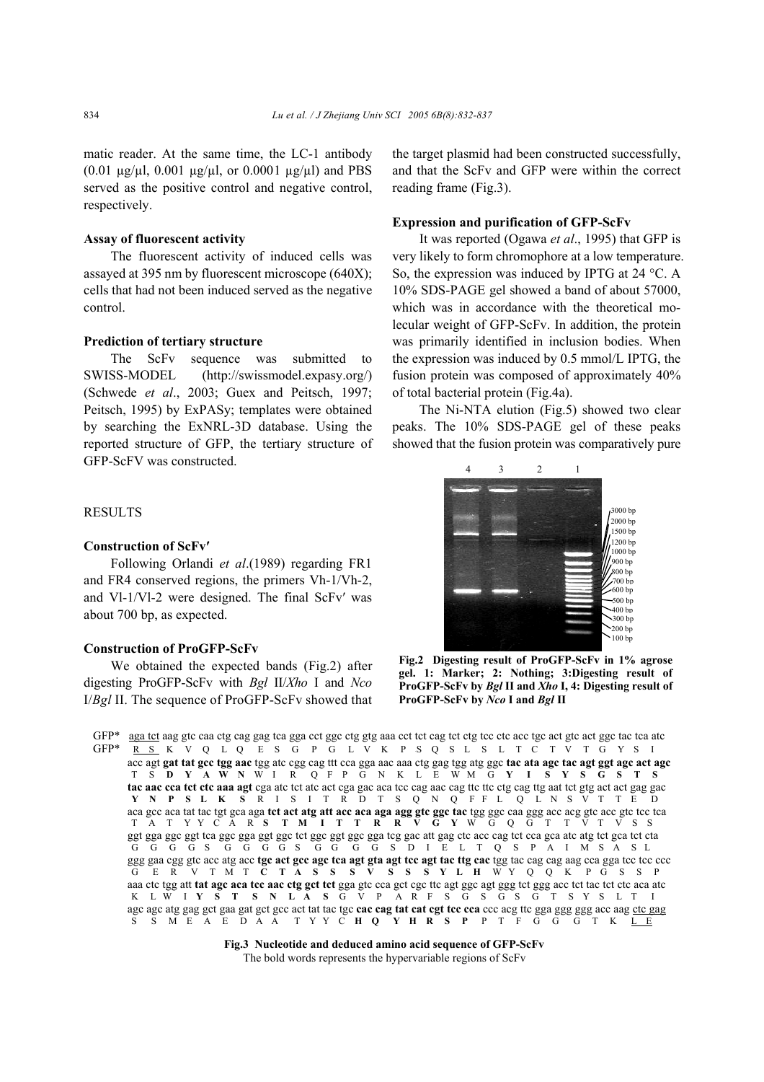matic reader. At the same time, the LC-1 antibody (0.01  $\mu$ g/ $\mu$ l, 0.001  $\mu$ g/ $\mu$ l, or 0.0001  $\mu$ g/ $\mu$ l) and PBS served as the positive control and negative control, respectively.

## **Assay of fluorescent activity**

The fluorescent activity of induced cells was assayed at 395 nm by fluorescent microscope (640Χ); cells that had not been induced served as the negative control.

#### **Prediction of tertiary structure**

The ScFv sequence was submitted to SWISS-MODEL (http://swissmodel.expasy.org/) (Schwede *et al*., 2003; Guex and Peitsch, 1997; Peitsch, 1995) by ExPASy; templates were obtained by searching the ExNRL-3D database. Using the reported structure of GFP, the tertiary structure of GFP-ScFV was constructed.

# RESULTS

# **Construction of ScFv′**

Following Orlandi *et al*.(1989) regarding FR1 and FR4 conserved regions, the primers Vh-1/Vh-2, and Vl-1/Vl-2 were designed. The final ScFv′ was about 700 bp, as expected.

# **Construction of ProGFP-ScFv**

We obtained the expected bands (Fig.2) after digesting ProGFP-ScFv with *Bgl* II/*Xho* I and *Nco* I/*Bgl* II. The sequence of ProGFP-ScFv showed that the target plasmid had been constructed successfully, and that the ScFv and GFP were within the correct reading frame (Fig.3).

## **Expression and purification of GFP-ScFv**

It was reported (Ogawa *et al*., 1995) that GFP is very likely to form chromophore at a low temperature. So, the expression was induced by IPTG at 24 °C. A 10% SDS-PAGE gel showed a band of about 57000, which was in accordance with the theoretical molecular weight of GFP-ScFv. In addition, the protein was primarily identified in inclusion bodies. When the expression was induced by 0.5 mmol/L IPTG, the fusion protein was composed of approximately 40% of total bacterial protein (Fig.4a).

The Ni-NTA elution (Fig.5) showed two clear peaks. The 10% SDS-PAGE gel of these peaks showed that the fusion protein was comparatively pure



**Fig.2 Digesting result of ProGFP-ScFv in 1% agrose gel. 1: Marker; 2: Nothing; 3:Digesting result of ProGFP-ScFv by** *Bgl* **II and** *Xho* **I, 4: Digesting result of ProGFP-ScFv by** *Nco* **I and** *Bgl* **II**

GFP\* aga tct aag gtc caa ctg cag gag tca gga cct ggc ctg gtg aaa cct tct cag tct ctg tcc ctc acc tgc act gtc act ggc tac tca atc GFP\* R S K V Q L Q E S G P G L V K P S Q S L S L T C T V T G Y S I acc agt **gat tat gcc tgg aac** tgg atc cgg cag ttt cca gga aac aaa ctg gag tgg atg ggc **tac ata agc tac agt ggt agc act agc** T S **D Y A W N** W I R Q F P G N K L E W M G **Y I S Y S G S T S**  tac aac cca tct ctc aaa agt cga atc tct atc act cga gac aca tcc cag aac cag ttc ttc ctg cag ttg aat tct gtg act act gag gac **Y N P S L K S** R I S I T R D T S Q N Q F F L Q L N S V T T E D aca gcc aca tat tac tgt gca aga **tct act atg att acc aca aga agg gtc ggc tac** tgg ggc caa ggg acc acg gtc acc gtc tcc tca T A T Y Y C A R **S T M I T T R R V G Y** W G Q G T T V T V S S ggt gga ggc ggt tca ggc gga ggt ggc tct ggc ggt ggc gga tcg gac att gag ctc acc cag tct cca gca atc atg tct gca tct cta G G G G S G G G G S G G G G S D I E L T Q S P A I M S A S L ggg gaa cgg gtc acc atg acc **tgc act gcc agc tca agt gta agt tcc agt tac ttg cac** tgg tac cag cag aag cca gga tcc tcc ccc G E R V T M T **C T A S S S V S S S Y L H** W Y Q Q K P G S S P aaa ctc tgg att **tat agc aca tcc aac ctg gct tct** gga gtc cca gct cgc ttc agt ggc agt ggg tct ggg acc tct tac tct ctc aca atc K L W I **Y S T S N L A S** G V P A R F S G S G S G T S Y S L T I agc agc atg gag gct gaa gat gct gcc act tat tac tgc **cac cag tat cat cgt tcc cca** ccc acg ttc gga ggg ggg acc aag <u>ctc gag</u><br>S S M E A E D A A T Y Y C **H O Y H R S P** P T F G G G T K L E S S M E A E D A A T Y Y C **H Q Y H R S P** P T F G G G T K L E

> **Fig.3 Nucleotide and deduced amino acid sequence of GFP-ScFv**  The bold words represents the hypervariable regions of ScFv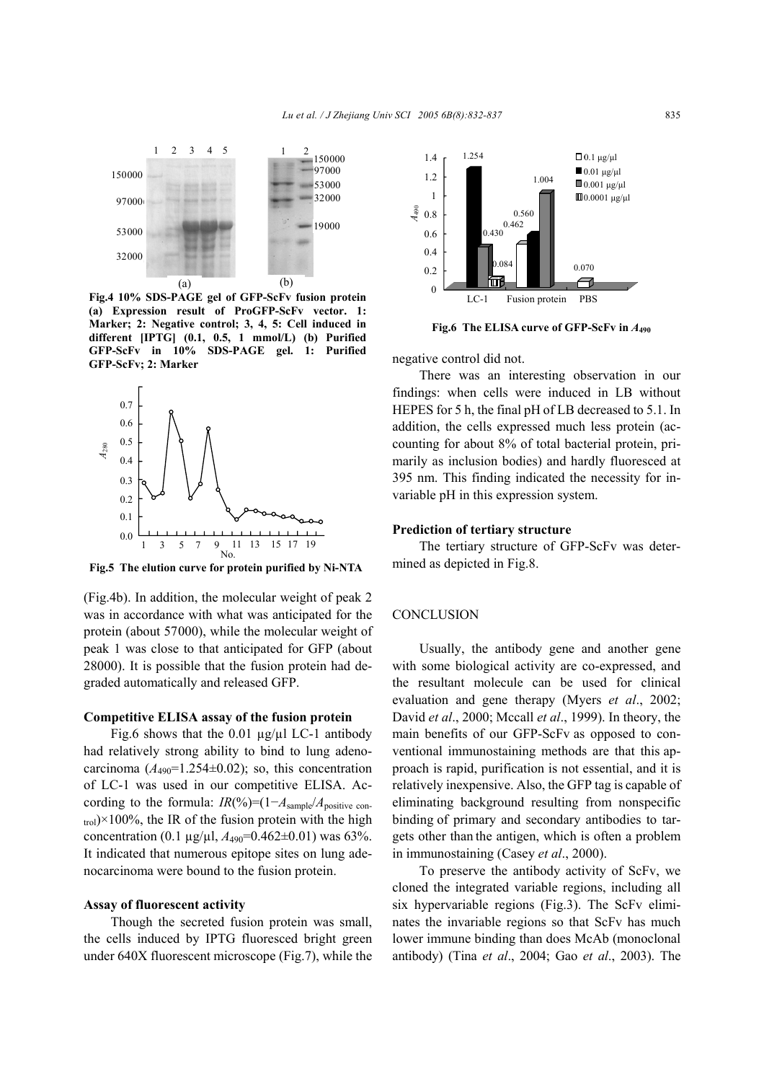

**Fig.4 10% SDS-PAGE gel of GFP-ScFv fusion protein (a) Expression result of ProGFP-ScFv vector. 1: Marker; 2: Negative control; 3, 4, 5: Cell induced in different [IPTG] (0.1, 0.5, 1 mmol/L) (b) Purified GFP-ScFv in 10% SDS-PAGE gel. 1: Purified GFP-ScFv; 2: Marker** 



**Fig.5 The elution curve for protein purified by Ni-NTA**

(Fig.4b). In addition, the molecular weight of peak 2 was in accordance with what was anticipated for the protein (about 57000), while the molecular weight of peak 1 was close to that anticipated for GFP (about 28000). It is possible that the fusion protein had degraded automatically and released GFP.

#### **Competitive ELISA assay of the fusion protein**

Fig.6 shows that the 0.01 µg/µl LC-1 antibody had relatively strong ability to bind to lung adenocarcinoma  $(A_{490}=1.254\pm0.02)$ ; so, this concentration of LC-1 was used in our competitive ELISA. According to the formula:  $IR(\%)=(1-A_{\text{sample}}/A_{\text{positive con}})$  $_{\text{trol}}$ )×100%, the IR of the fusion protein with the high concentration (0.1  $\mu$ g/ $\mu$ l,  $A_{490}$ =0.462±0.01) was 63%. It indicated that numerous epitope sites on lung adenocarcinoma were bound to the fusion protein.

## **Assay of fluorescent activity**

Though the secreted fusion protein was small, the cells induced by IPTG fluoresced bright green under 640X fluorescent microscope (Fig.7), while the



**Fig.6 The ELISA curve of GFP-ScFv in** *A***<sup>490</sup>**

negative control did not.

There was an interesting observation in our findings: when cells were induced in LB without HEPES for 5 h, the final pH of LB decreased to 5.1. In addition, the cells expressed much less protein (accounting for about 8% of total bacterial protein, primarily as inclusion bodies) and hardly fluoresced at 395 nm. This finding indicated the necessity for invariable pH in this expression system.

## **Prediction of tertiary structure**

The tertiary structure of GFP-ScFv was determined as depicted in Fig.8.

## **CONCLUSION**

Usually, the antibody gene and another gene with some biological activity are co-expressed, and the resultant molecule can be used for clinical evaluation and gene therapy (Myers *et al*., 2002; David *et al*., 2000; Mccall *et al*., 1999). In theory, the main benefits of our GFP-ScFv as opposed to conventional immunostaining methods are that this approach is rapid, purification is not essential, and it is relatively inexpensive. Also, the GFP tag is capable of eliminating background resulting from nonspecific binding of primary and secondary antibodies to targets other than the antigen, which is often a problem in immunostaining (Casey *et al*., 2000).

To preserve the antibody activity of ScFv, we cloned the integrated variable regions, including all six hypervariable regions (Fig.3). The ScFv eliminates the invariable regions so that ScFv has much lower immune binding than does McAb (monoclonal antibody) (Tina *et al*., 2004; Gao *et al*., 2003). The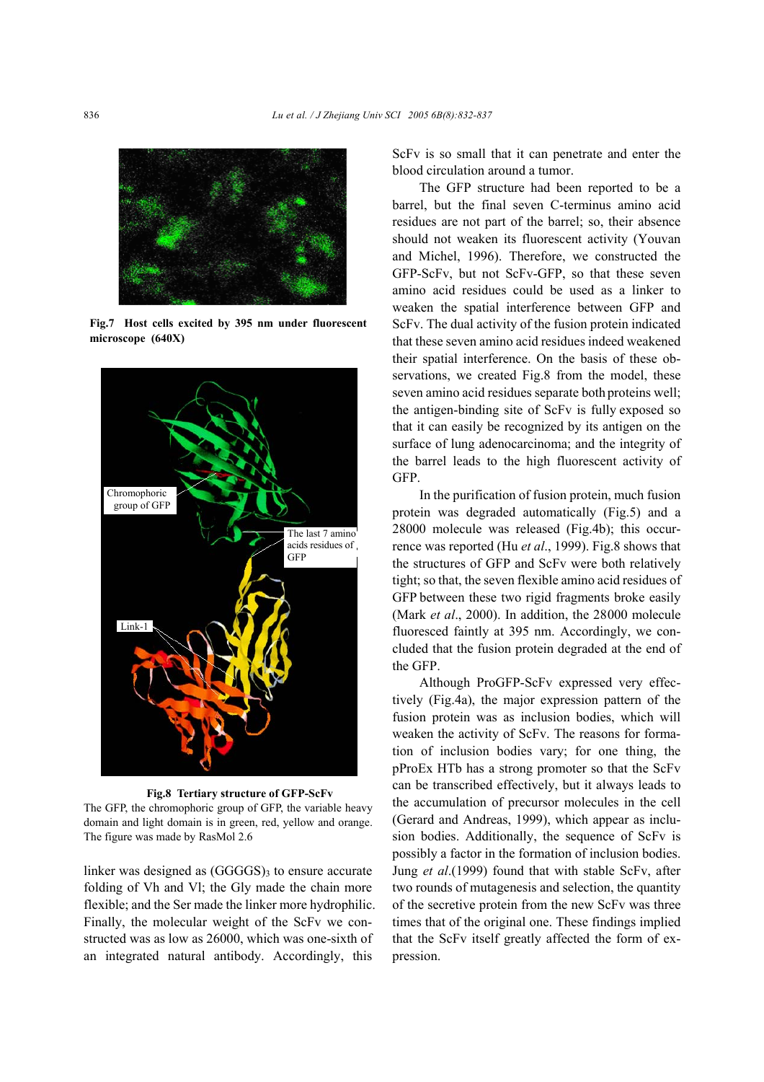

**Fig.7 Host cells excited by 395 nm under fluorescent microscope (640Χ)**



**Fig.8 Tertiary structure of GFP-ScFv**  The GFP, the chromophoric group of GFP, the variable heavy domain and light domain is in green, red, yellow and orange. The figure was made by RasMol 2.6

linker was designed as  $(GGGGS)$ <sub>3</sub> to ensure accurate folding of Vh and Vl; the Gly made the chain more flexible; and the Ser made the linker more hydrophilic. Finally, the molecular weight of the ScFv we constructed was as low as 26000, which was one-sixth of an integrated natural antibody. Accordingly, this

ScFv is so small that it can penetrate and enter the blood circulation around a tumor.

The GFP structure had been reported to be a barrel, but the final seven C-terminus amino acid residues are not part of the barrel; so, their absence should not weaken its fluorescent activity (Youvan and Michel, 1996). Therefore, we constructed the GFP-ScFv, but not ScFv-GFP, so that these seven amino acid residues could be used as a linker to weaken the spatial interference between GFP and ScFv. The dual activity of the fusion protein indicated that these seven amino acid residues indeed weakened their spatial interference. On the basis of these observations, we created Fig.8 from the model, these seven amino acid residues separate both proteins well; the antigen-binding site of ScFv is fully exposed so that it can easily be recognized by its antigen on the surface of lung adenocarcinoma; and the integrity of the barrel leads to the high fluorescent activity of GFP.

In the purification of fusion protein, much fusion protein was degraded automatically (Fig.5) and a 28000 molecule was released (Fig.4b); this occurrence was reported (Hu *et al*., 1999). Fig.8 shows that the structures of GFP and ScFv were both relatively tight; so that, the seven flexible amino acid residues of GFP between these two rigid fragments broke easily (Mark *et al*., 2000). In addition, the 28000 molecule fluoresced faintly at 395 nm. Accordingly, we concluded that the fusion protein degraded at the end of the GFP.

Although ProGFP-ScFv expressed very effectively (Fig.4a), the major expression pattern of the fusion protein was as inclusion bodies, which will weaken the activity of ScFv. The reasons for formation of inclusion bodies vary; for one thing, the pProEx HTb has a strong promoter so that the ScFv can be transcribed effectively, but it always leads to the accumulation of precursor molecules in the cell (Gerard and Andreas, 1999), which appear as inclusion bodies. Additionally, the sequence of ScFv is possibly a factor in the formation of inclusion bodies. Jung *et al*.(1999) found that with stable ScFv, after two rounds of mutagenesis and selection, the quantity of the secretive protein from the new ScFv was three times that of the original one. These findings implied that the ScFv itself greatly affected the form of expression.